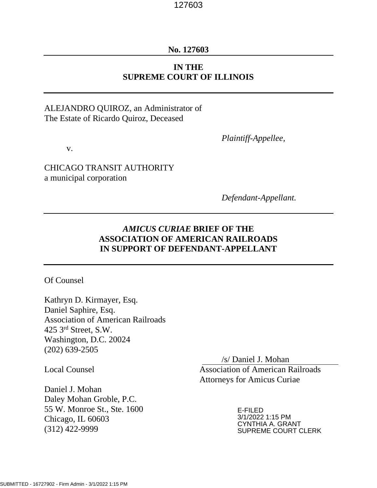## **No. 127603**

# **IN THE SUPREME COURT OF ILLINOIS**

# ALEJANDRO QUIROZ, an Administrator of The Estate of Ricardo Quiroz, Deceased

v.

CHICAGO TRANSIT AUTHORITY a municipal corporation

*Defendant-Appellant.*

*Plaintiff-Appellee,*

# *AMICUS CURIAE* **BRIEF OF THE ASSOCIATION OF AMERICAN RAILROADS IN SUPPORT OF DEFENDANT-APPELLANT**

Of Counsel

Kathryn D. Kirmayer, Esq. Daniel Saphire, Esq. Association of American Railroads 425 3rd Street, S.W. Washington, D.C. 20024 (202) 639-2505

Daniel J. Mohan Daley Mohan Groble, P.C. 55 W. Monroe St., Ste. 1600 Chicago, IL 60603 (312) 422-9999

/s/ Daniel J. Mohan Local Counsel Association of American Railroads Attorneys for Amicus Curiae

> E-FILED 3/1/2022 1:15 PM CYNTHIA A. GRANT SUPREME COURT CLERK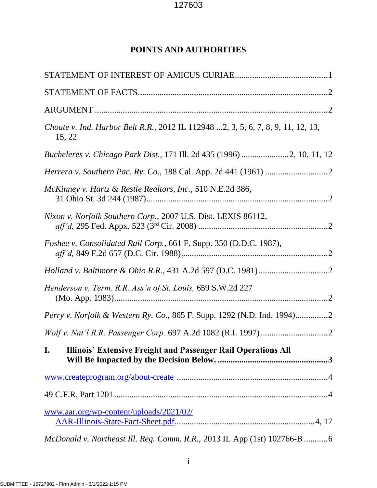# **POINTS AND AUTHORITIES**

| Choate v. Ind. Harbor Belt R.R., 2012 IL 112948 2, 3, 5, 6, 7, 8, 9, 11, 12, 13,<br>15, 22 |
|--------------------------------------------------------------------------------------------|
| Bucheleres v. Chicago Park Dist., 171 Ill. 2d 435 (1996) 2, 10, 11, 12                     |
|                                                                                            |
| McKinney v. Hartz & Restle Realtors, Inc., 510 N.E.2d 386,                                 |
| Nixon v. Norfolk Southern Corp., 2007 U.S. Dist. LEXIS 86112,                              |
| Foshee v. Consolidated Rail Corp., 661 F. Supp. 350 (D.D.C. 1987),                         |
|                                                                                            |
| Henderson v. Term. R.R. Ass'n of St. Louis, 659 S.W.2d 227                                 |
|                                                                                            |
|                                                                                            |
| I.<br><b>Illinois' Extensive Freight and Passenger Rail Operations All</b>                 |
|                                                                                            |
|                                                                                            |
| www.aar.org/wp-content/uploads/2021/02/                                                    |
| McDonald v. Northeast Ill. Reg. Comm. R.R., 2013 IL App (1st) 102766-B 6                   |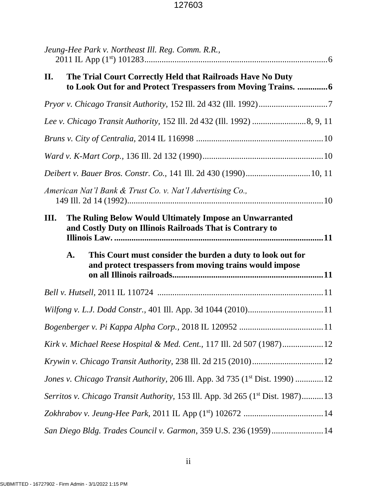| Jeung-Hee Park v. Northeast Ill. Reg. Comm. R.R.,                                                                                       |
|-----------------------------------------------------------------------------------------------------------------------------------------|
| The Trial Court Correctly Held that Railroads Have No Duty<br>II.<br>to Look Out for and Protect Trespassers from Moving Trains.  6     |
|                                                                                                                                         |
|                                                                                                                                         |
|                                                                                                                                         |
|                                                                                                                                         |
| Deibert v. Bauer Bros. Constr. Co., 141 Ill. 2d 430 (1990) 10, 11                                                                       |
| American Nat'l Bank & Trust Co. v. Nat'l Advertising Co.,                                                                               |
| The Ruling Below Would Ultimately Impose an Unwarranted<br>III.<br>and Costly Duty on Illinois Railroads That is Contrary to            |
|                                                                                                                                         |
| $\mathbf{A}$ .<br>This Court must consider the burden a duty to look out for<br>and protect trespassers from moving trains would impose |
|                                                                                                                                         |
|                                                                                                                                         |
|                                                                                                                                         |
| Kirk v. Michael Reese Hospital & Med. Cent., 117 Ill. 2d 507 (1987)12                                                                   |
|                                                                                                                                         |
| Jones v. Chicago Transit Authority, 206 Ill. App. 3d 735 (1 <sup>st</sup> Dist. 1990) 12                                                |
| Serritos v. Chicago Transit Authority, 153 Ill. App. 3d 265 (1 <sup>st</sup> Dist. 1987)13                                              |
|                                                                                                                                         |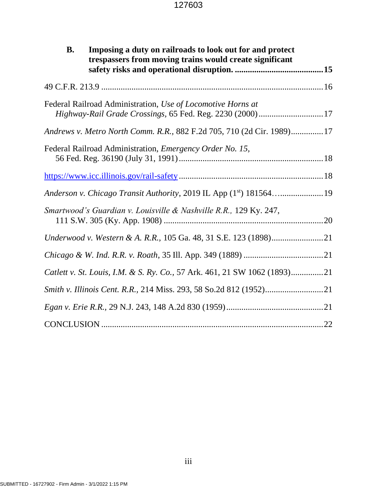| <b>B.</b> | Imposing a duty on railroads to look out for and protect<br>trespassers from moving trains would create significant     |  |
|-----------|-------------------------------------------------------------------------------------------------------------------------|--|
|           |                                                                                                                         |  |
|           | Federal Railroad Administration, Use of Locomotive Horns at<br>Highway-Rail Grade Crossings, 65 Fed. Reg. 2230 (2000)17 |  |
|           | Andrews v. Metro North Comm. R.R., 882 F.2d 705, 710 (2d Cir. 1989)17                                                   |  |
|           | Federal Railroad Administration, Emergency Order No. 15,                                                                |  |
|           |                                                                                                                         |  |
|           | Anderson v. Chicago Transit Authority, 2019 IL App (1st) 18156419                                                       |  |
|           | Smartwood's Guardian v. Louisville & Nashville R.R., 129 Ky. 247,                                                       |  |
|           | Underwood v. Western & A. R.R., 105 Ga. 48, 31 S.E. 123 (1898)21                                                        |  |
|           |                                                                                                                         |  |
|           | Catlett v. St. Louis, I.M. & S. Ry. Co., 57 Ark. 461, 21 SW 1062 (1893)21                                               |  |
|           |                                                                                                                         |  |
|           |                                                                                                                         |  |
|           |                                                                                                                         |  |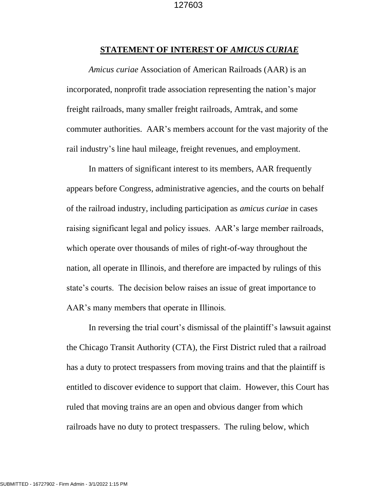### **STATEMENT OF INTEREST OF** *AMICUS CURIAE*

*Amicus curiae* Association of American Railroads (AAR) is an incorporated, nonprofit trade association representing the nation's major freight railroads, many smaller freight railroads, Amtrak, and some commuter authorities. AAR's members account for the vast majority of the rail industry's line haul mileage, freight revenues, and employment.

In matters of significant interest to its members, AAR frequently appears before Congress, administrative agencies, and the courts on behalf of the railroad industry, including participation as *amicus curiae* in cases raising significant legal and policy issues. AAR's large member railroads, which operate over thousands of miles of right-of-way throughout the nation, all operate in Illinois, and therefore are impacted by rulings of this state's courts. The decision below raises an issue of great importance to AAR's many members that operate in Illinois.

In reversing the trial court's dismissal of the plaintiff's lawsuit against the Chicago Transit Authority (CTA), the First District ruled that a railroad has a duty to protect trespassers from moving trains and that the plaintiff is entitled to discover evidence to support that claim. However, this Court has ruled that moving trains are an open and obvious danger from which railroads have no duty to protect trespassers. The ruling below, which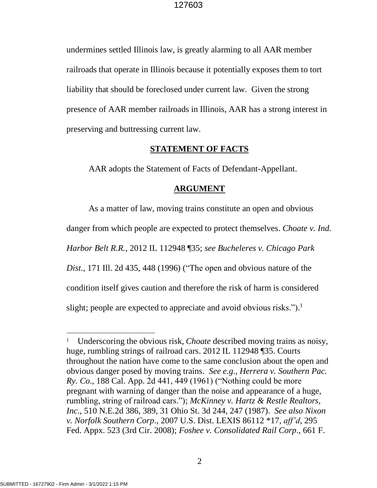undermines settled Illinois law, is greatly alarming to all AAR member railroads that operate in Illinois because it potentially exposes them to tort liability that should be foreclosed under current law. Given the strong presence of AAR member railroads in Illinois, AAR has a strong interest in preserving and buttressing current law.

## **STATEMENT OF FACTS**

AAR adopts the Statement of Facts of Defendant-Appellant.

## **ARGUMENT**

As a matter of law, moving trains constitute an open and obvious danger from which people are expected to protect themselves. *Choate v. Ind. Harbor Belt R.R.,* 2012 IL 112948 ¶35; *see Bucheleres v. Chicago Park Dist.*, 171 Ill. 2d 435, 448 (1996) ("The open and obvious nature of the condition itself gives caution and therefore the risk of harm is considered slight; people are expected to appreciate and avoid obvious risks.").<sup>1</sup>

<sup>&</sup>lt;sup>1</sup> Underscoring the obvious risk, *Choate* described moving trains as noisy, huge, rumbling strings of railroad cars. 2012 IL 112948 ¶35. Courts throughout the nation have come to the same conclusion about the open and obvious danger posed by moving trains. *See e.g., Herrera v. Southern Pac. Ry. Co*., 188 Cal. App. 2d 441, 449 (1961) ("Nothing could be more pregnant with warning of danger than the noise and appearance of a huge, rumbling, string of railroad cars."); *McKinney v. Hartz & Restle Realtors, Inc*., 510 N.E.2d 386, 389, 31 Ohio St. 3d 244, 247 (1987). *See also Nixon v. Norfolk Southern Corp*., 2007 U.S. Dist. LEXIS 86112 \*17, *aff'd*, 295 Fed. Appx. 523 (3rd Cir. 2008); *Foshee v. Consolidated Rail Corp*., 661 F.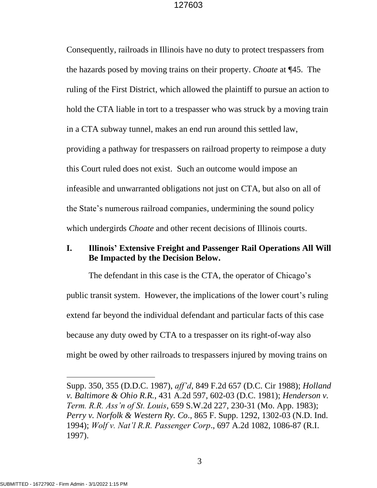Consequently, railroads in Illinois have no duty to protect trespassers from the hazards posed by moving trains on their property. *Choate* at ¶45. The ruling of the First District, which allowed the plaintiff to pursue an action to hold the CTA liable in tort to a trespasser who was struck by a moving train in a CTA subway tunnel, makes an end run around this settled law, providing a pathway for trespassers on railroad property to reimpose a duty this Court ruled does not exist. Such an outcome would impose an infeasible and unwarranted obligations not just on CTA, but also on all of the State's numerous railroad companies, undermining the sound policy which undergirds *Choate* and other recent decisions of Illinois courts.

# **I. Illinois' Extensive Freight and Passenger Rail Operations All Will Be Impacted by the Decision Below.**

The defendant in this case is the CTA, the operator of Chicago's public transit system. However, the implications of the lower court's ruling extend far beyond the individual defendant and particular facts of this case because any duty owed by CTA to a trespasser on its right-of-way also might be owed by other railroads to trespassers injured by moving trains on

Supp. 350, 355 (D.D.C. 1987), *aff'd*, 849 F.2d 657 (D.C. Cir 1988); *Holland v. Baltimore & Ohio R.R.*, 431 A.2d 597, 602-03 (D.C. 1981); *Henderson v. Term. R.R. Ass'n of St. Louis*, 659 S.W.2d 227, 230-31 (Mo. App. 1983); *Perry v. Norfolk & Western Ry. Co*., 865 F. Supp. 1292, 1302-03 (N.D. Ind. 1994); *Wolf v. Nat'l R.R. Passenger Corp*., 697 A.2d 1082, 1086-87 (R.I. 1997).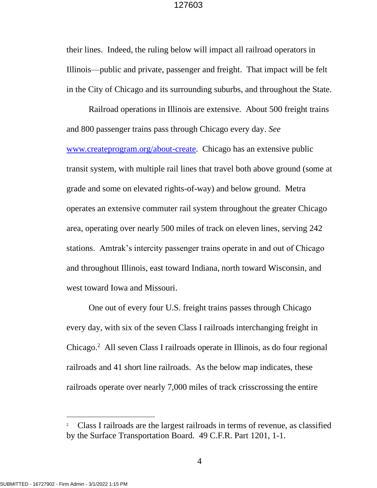their lines. Indeed, the ruling below will impact all railroad operators in Illinois—public and private, passenger and freight. That impact will be felt in the City of Chicago and its surrounding suburbs, and throughout the State.

Railroad operations in Illinois are extensive. About 500 freight trains and 800 passenger trains pass through Chicago every day. *See*  www*.*[createprogram.org/about-create.](http://www.createprogram.org/about-create) Chicago has an extensive public transit system, with multiple rail lines that travel both above ground (some at grade and some on elevated rights-of-way) and below ground. Metra operates an extensive commuter rail system throughout the greater Chicago area, operating over nearly 500 miles of track on eleven lines, serving 242 stations. Amtrak's intercity passenger trains operate in and out of Chicago and throughout Illinois, east toward Indiana, north toward Wisconsin, and west toward Iowa and Missouri.

One out of every four U.S. freight trains passes through Chicago every day, with six of the seven Class I railroads interchanging freight in Chicago. 2 All seven Class I railroads operate in Illinois, as do four regional railroads and 41 short line railroads. As the below map indicates, these railroads operate over nearly 7,000 miles of track crisscrossing the entire

<sup>2</sup> Class I railroads are the largest railroads in terms of revenue, as classified by the Surface Transportation Board. 49 C.F.R. Part 1201, 1-1.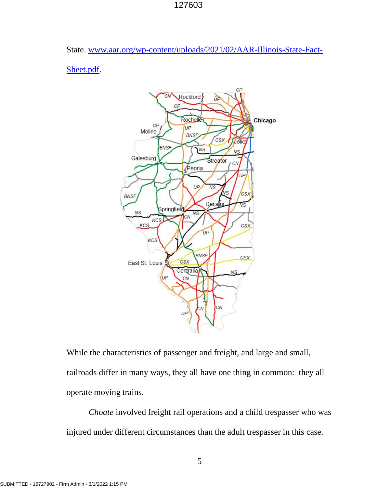State. [www.aar.org/wp-content/uploads/2021/02/AAR-Illinois-State-Fact-](http://www.aar.org/wp-content/uploads/2021/02/AAR-Illinois-State-Fact-Sheet.pdf)

[Sheet.pdf.](http://www.aar.org/wp-content/uploads/2021/02/AAR-Illinois-State-Fact-Sheet.pdf)



While the characteristics of passenger and freight, and large and small, railroads differ in many ways, they all have one thing in common: they all operate moving trains.

*Choate* involved freight rail operations and a child trespasser who was injured under different circumstances than the adult trespasser in this case.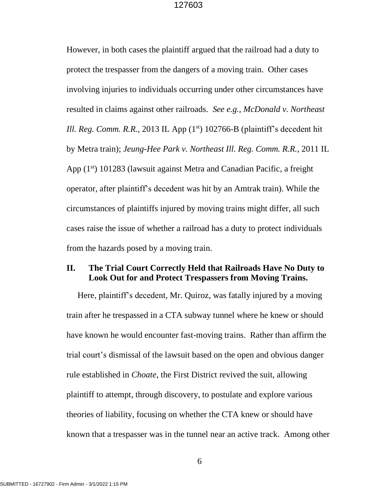However, in both cases the plaintiff argued that the railroad had a duty to protect the trespasser from the dangers of a moving train. Other cases involving injuries to individuals occurring under other circumstances have resulted in claims against other railroads. *See e.g., McDonald v. Northeast Ill. Reg. Comm. R.R.,* 2013 IL App (1<sup>st</sup>) 102766-B (plaintiff's decedent hit by Metra train); *Jeung-Hee Park v. Northeast Ill. Reg. Comm. R.R.,* 2011 IL App  $(1<sup>st</sup>)$  101283 (lawsuit against Metra and Canadian Pacific, a freight operator, after plaintiff's decedent was hit by an Amtrak train). While the circumstances of plaintiffs injured by moving trains might differ, all such cases raise the issue of whether a railroad has a duty to protect individuals from the hazards posed by a moving train.

# **II. The Trial Court Correctly Held that Railroads Have No Duty to Look Out for and Protect Trespassers from Moving Trains.**

Here, plaintiff's decedent, Mr. Quiroz, was fatally injured by a moving train after he trespassed in a CTA subway tunnel where he knew or should have known he would encounter fast-moving trains. Rather than affirm the trial court's dismissal of the lawsuit based on the open and obvious danger rule established in *Choate*, the First District revived the suit, allowing plaintiff to attempt, through discovery, to postulate and explore various theories of liability, focusing on whether the CTA knew or should have known that a trespasser was in the tunnel near an active track. Among other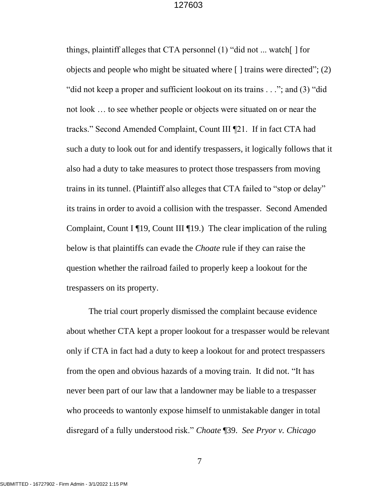things, plaintiff alleges that CTA personnel (1) "did not ... watch[ ] for objects and people who might be situated where [ ] trains were directed"; (2) "did not keep a proper and sufficient lookout on its trains . . ."; and (3) "did not look … to see whether people or objects were situated on or near the tracks." Second Amended Complaint, Count III ¶21. If in fact CTA had such a duty to look out for and identify trespassers, it logically follows that it also had a duty to take measures to protect those trespassers from moving trains in its tunnel. (Plaintiff also alleges that CTA failed to "stop or delay" its trains in order to avoid a collision with the trespasser. Second Amended Complaint, Count I  $\P$ 19, Count III  $\P$ 19.) The clear implication of the ruling below is that plaintiffs can evade the *Choate* rule if they can raise the question whether the railroad failed to properly keep a lookout for the trespassers on its property.

The trial court properly dismissed the complaint because evidence about whether CTA kept a proper lookout for a trespasser would be relevant only if CTA in fact had a duty to keep a lookout for and protect trespassers from the open and obvious hazards of a moving train. It did not. "It has never been part of our law that a landowner may be liable to a trespasser who proceeds to wantonly expose himself to unmistakable danger in total disregard of a fully understood risk." *Choate* ¶39. *See Pryor v. Chicago*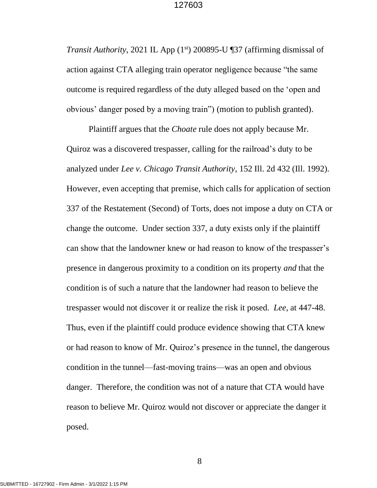*Transit Authority*, 2021 IL App (1<sup>st</sup>) 200895-U ¶37 (affirming dismissal of action against CTA alleging train operator negligence because "the same outcome is required regardless of the duty alleged based on the 'open and obvious' danger posed by a moving train") (motion to publish granted).

Plaintiff argues that the *Choate* rule does not apply because Mr. Quiroz was a discovered trespasser, calling for the railroad's duty to be analyzed under *Lee v. Chicago Transit Authority*, 152 Ill. 2d 432 (Ill. 1992). However, even accepting that premise, which calls for application of section 337 of the Restatement (Second) of Torts, does not impose a duty on CTA or change the outcome. Under section 337, a duty exists only if the plaintiff can show that the landowner knew or had reason to know of the trespasser's presence in dangerous proximity to a condition on its property *and* that the condition is of such a nature that the landowner had reason to believe the trespasser would not discover it or realize the risk it posed. *Lee*, at 447-48. Thus, even if the plaintiff could produce evidence showing that CTA knew or had reason to know of Mr. Quiroz's presence in the tunnel, the dangerous condition in the tunnel—fast-moving trains—was an open and obvious danger. Therefore, the condition was not of a nature that CTA would have reason to believe Mr. Quiroz would not discover or appreciate the danger it posed.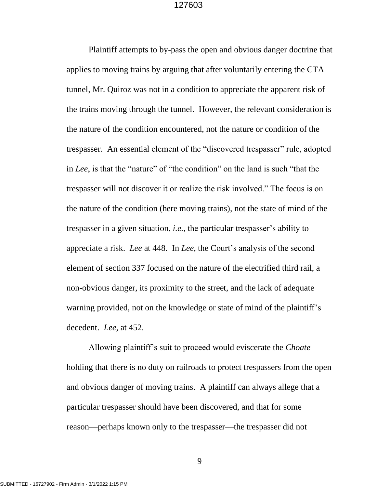Plaintiff attempts to by-pass the open and obvious danger doctrine that applies to moving trains by arguing that after voluntarily entering the CTA tunnel, Mr. Quiroz was not in a condition to appreciate the apparent risk of the trains moving through the tunnel. However, the relevant consideration is the nature of the condition encountered, not the nature or condition of the trespasser. An essential element of the "discovered trespasser" rule, adopted in *Lee*, is that the "nature" of "the condition" on the land is such "that the trespasser will not discover it or realize the risk involved." The focus is on the nature of the condition (here moving trains), not the state of mind of the trespasser in a given situation, *i.e.,* the particular trespasser's ability to appreciate a risk. *Lee* at 448. In *Lee*, the Court's analysis of the second element of section 337 focused on the nature of the electrified third rail, a non-obvious danger, its proximity to the street, and the lack of adequate warning provided, not on the knowledge or state of mind of the plaintiff's decedent. *Lee,* at 452.

Allowing plaintiff's suit to proceed would eviscerate the *Choate* holding that there is no duty on railroads to protect trespassers from the open and obvious danger of moving trains. A plaintiff can always allege that a particular trespasser should have been discovered, and that for some reason—perhaps known only to the trespasser—the trespasser did not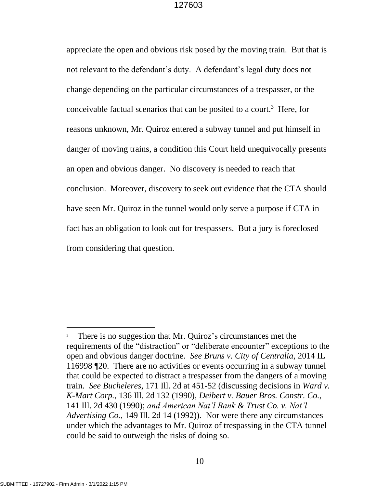appreciate the open and obvious risk posed by the moving train. But that is not relevant to the defendant's duty. A defendant's legal duty does not change depending on the particular circumstances of a trespasser, or the conceivable factual scenarios that can be posited to a court.<sup>3</sup> Here, for reasons unknown, Mr. Quiroz entered a subway tunnel and put himself in danger of moving trains, a condition this Court held unequivocally presents an open and obvious danger. No discovery is needed to reach that conclusion. Moreover, discovery to seek out evidence that the CTA should have seen Mr. Quiroz in the tunnel would only serve a purpose if CTA in fact has an obligation to look out for trespassers. But a jury is foreclosed from considering that question.

<sup>&</sup>lt;sup>3</sup> There is no suggestion that Mr. Quiroz's circumstances met the requirements of the "distraction" or "deliberate encounter" exceptions to the open and obvious danger doctrine. *See Bruns v. City of Centralia*, 2014 IL 116998 ¶20. There are no activities or events occurring in a subway tunnel that could be expected to distract a trespasser from the dangers of a moving train. *See Bucheleres*, 171 Ill. 2d at 451-52 (discussing decisions in *Ward v. K-Mart Corp.,* 136 Ill. 2d 132 (1990), *Deibert v. Bauer Bros. Constr. Co.,*  141 Ill. 2d 430 (1990); *and American Nat'l Bank & Trust Co. v. Nat'l Advertising Co.,* 149 Ill. 2d 14 (1992)). Nor were there any circumstances under which the advantages to Mr. Quiroz of trespassing in the CTA tunnel could be said to outweigh the risks of doing so.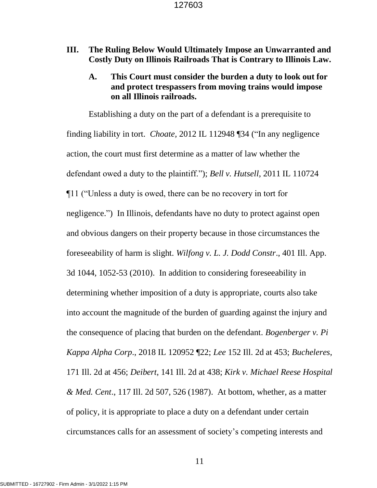# **III. The Ruling Below Would Ultimately Impose an Unwarranted and Costly Duty on Illinois Railroads That is Contrary to Illinois Law.**

# **A. This Court must consider the burden a duty to look out for and protect trespassers from moving trains would impose on all Illinois railroads.**

Establishing a duty on the part of a defendant is a prerequisite to finding liability in tort. *Choate,* 2012 IL 112948 ¶34 ("In any negligence action, the court must first determine as a matter of law whether the defendant owed a duty to the plaintiff."); *Bell v. Hutsell*, 2011 IL 110724 ¶11 ("Unless a duty is owed, there can be no recovery in tort for negligence.") In Illinois, defendants have no duty to protect against open and obvious dangers on their property because in those circumstances the foreseeability of harm is slight. *Wilfong v. L. J. Dodd Constr*., 401 Ill. App. 3d 1044, 1052-53 (2010). In addition to considering foreseeability in determining whether imposition of a duty is appropriate, courts also take into account the magnitude of the burden of guarding against the injury and the consequence of placing that burden on the defendant. *Bogenberger v. Pi Kappa Alpha Corp*., 2018 IL 120952 ¶22; *Lee* 152 Ill. 2d at 453; *Bucheleres*, 171 Ill. 2d at 456; *Deibert*, 141 Ill. 2d at 438; *Kirk v. Michael Reese Hospital & Med. Cent*., 117 Ill. 2d 507, 526 (1987). At bottom, whether, as a matter of policy, it is appropriate to place a duty on a defendant under certain circumstances calls for an assessment of society's competing interests and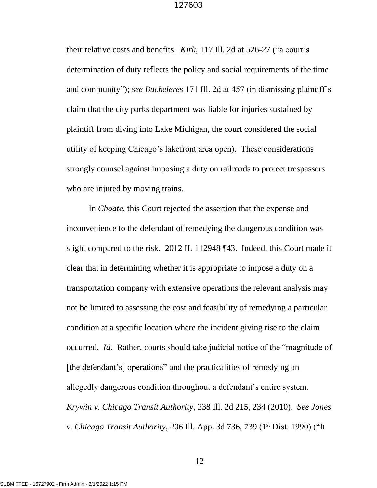their relative costs and benefits. *Kirk*, 117 Ill. 2d at 526-27 ("a court's determination of duty reflects the policy and social requirements of the time and community"); *see Bucheleres* 171 Ill. 2d at 457 (in dismissing plaintiff's claim that the city parks department was liable for injuries sustained by plaintiff from diving into Lake Michigan, the court considered the social utility of keeping Chicago's lakefront area open). These considerations strongly counsel against imposing a duty on railroads to protect trespassers who are injured by moving trains.

In *Choate*, this Court rejected the assertion that the expense and inconvenience to the defendant of remedying the dangerous condition was slight compared to the risk. 2012 IL 112948 ¶43. Indeed, this Court made it clear that in determining whether it is appropriate to impose a duty on a transportation company with extensive operations the relevant analysis may not be limited to assessing the cost and feasibility of remedying a particular condition at a specific location where the incident giving rise to the claim occurred. *Id*. Rather, courts should take judicial notice of the "magnitude of [the defendant's] operations" and the practicalities of remedying an allegedly dangerous condition throughout a defendant's entire system. *Krywin v. Chicago Transit Authority*, 238 Ill. 2d 215, 234 (2010). *See Jones v. Chicago Transit Authority*, 206 Ill. App. 3d 736, 739 (1<sup>st</sup> Dist. 1990) ("It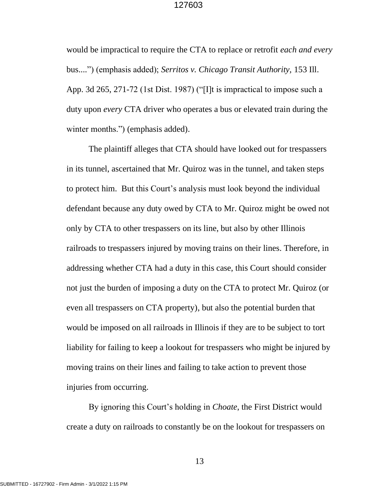would be impractical to require the CTA to replace or retrofit *each and every* bus....") (emphasis added); *Serritos v. Chicago Transit Authority,* 153 Ill. App. 3d 265, 271-72 (1st Dist. 1987) ("[I]t is impractical to impose such a duty upon *every* CTA driver who operates a bus or elevated train during the winter months.") (emphasis added).

The plaintiff alleges that CTA should have looked out for trespassers in its tunnel, ascertained that Mr. Quiroz was in the tunnel, and taken steps to protect him. But this Court's analysis must look beyond the individual defendant because any duty owed by CTA to Mr. Quiroz might be owed not only by CTA to other trespassers on its line, but also by other Illinois railroads to trespassers injured by moving trains on their lines. Therefore, in addressing whether CTA had a duty in this case, this Court should consider not just the burden of imposing a duty on the CTA to protect Mr. Quiroz (or even all trespassers on CTA property), but also the potential burden that would be imposed on all railroads in Illinois if they are to be subject to tort liability for failing to keep a lookout for trespassers who might be injured by moving trains on their lines and failing to take action to prevent those injuries from occurring.

By ignoring this Court's holding in *Choate*, the First District would create a duty on railroads to constantly be on the lookout for trespassers on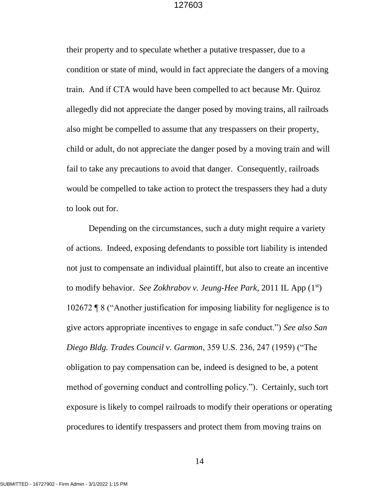their property and to speculate whether a putative trespasser, due to a condition or state of mind, would in fact appreciate the dangers of a moving train. And if CTA would have been compelled to act because Mr. Quiroz allegedly did not appreciate the danger posed by moving trains, all railroads also might be compelled to assume that any trespassers on their property, child or adult, do not appreciate the danger posed by a moving train and will fail to take any precautions to avoid that danger. Consequently, railroads would be compelled to take action to protect the trespassers they had a duty to look out for.

Depending on the circumstances, such a duty might require a variety of actions. Indeed, exposing defendants to possible tort liability is intended not just to compensate an individual plaintiff, but also to create an incentive to modify behavior. *See Zokhrabov v. Jeung-Hee Park*, 2011 IL App (1st) 102672 ¶ 8 ("Another justification for imposing liability for negligence is to give actors appropriate incentives to engage in safe conduct.") *See also San Diego Bldg. Trades Council v. Garmon*, 359 U.S. 236, 247 (1959) ("The obligation to pay compensation can be, indeed is designed to be, a potent method of governing conduct and controlling policy."). Certainly, such tort exposure is likely to compel railroads to modify their operations or operating procedures to identify trespassers and protect them from moving trains on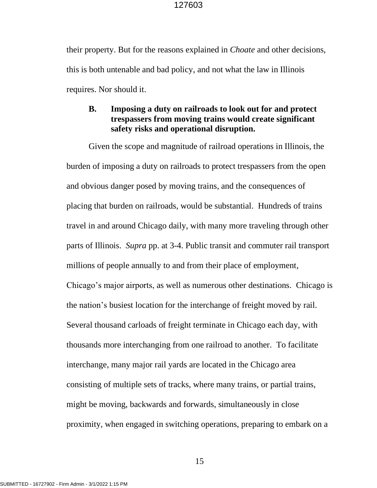their property. But for the reasons explained in *Choate* and other decisions, this is both untenable and bad policy, and not what the law in Illinois requires. Nor should it.

# **B. Imposing a duty on railroads to look out for and protect trespassers from moving trains would create significant safety risks and operational disruption.**

Given the scope and magnitude of railroad operations in Illinois, the burden of imposing a duty on railroads to protect trespassers from the open and obvious danger posed by moving trains, and the consequences of placing that burden on railroads, would be substantial. Hundreds of trains travel in and around Chicago daily, with many more traveling through other parts of Illinois. *Supra* pp. at 3-4. Public transit and commuter rail transport millions of people annually to and from their place of employment, Chicago's major airports, as well as numerous other destinations. Chicago is the nation's busiest location for the interchange of freight moved by rail. Several thousand carloads of freight terminate in Chicago each day, with thousands more interchanging from one railroad to another. To facilitate interchange, many major rail yards are located in the Chicago area consisting of multiple sets of tracks, where many trains, or partial trains, might be moving, backwards and forwards, simultaneously in close proximity, when engaged in switching operations, preparing to embark on a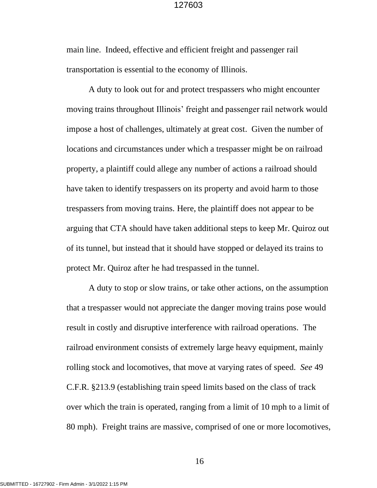main line. Indeed, effective and efficient freight and passenger rail transportation is essential to the economy of Illinois.

A duty to look out for and protect trespassers who might encounter moving trains throughout Illinois' freight and passenger rail network would impose a host of challenges, ultimately at great cost. Given the number of locations and circumstances under which a trespasser might be on railroad property, a plaintiff could allege any number of actions a railroad should have taken to identify trespassers on its property and avoid harm to those trespassers from moving trains. Here, the plaintiff does not appear to be arguing that CTA should have taken additional steps to keep Mr. Quiroz out of its tunnel, but instead that it should have stopped or delayed its trains to protect Mr. Quiroz after he had trespassed in the tunnel.

A duty to stop or slow trains, or take other actions, on the assumption that a trespasser would not appreciate the danger moving trains pose would result in costly and disruptive interference with railroad operations. The railroad environment consists of extremely large heavy equipment, mainly rolling stock and locomotives, that move at varying rates of speed. *See* 49 C.F.R. §213.9 (establishing train speed limits based on the class of track over which the train is operated, ranging from a limit of 10 mph to a limit of 80 mph). Freight trains are massive, comprised of one or more locomotives,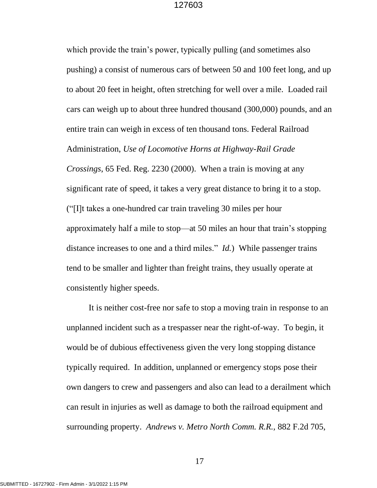which provide the train's power, typically pulling (and sometimes also pushing) a consist of numerous cars of between 50 and 100 feet long, and up to about 20 feet in height, often stretching for well over a mile. Loaded rail cars can weigh up to about three hundred thousand (300,000) pounds, and an entire train can weigh in excess of ten thousand tons. Federal Railroad Administration, *Use of Locomotive Horns at Highway-Rail Grade Crossings*, 65 Fed. Reg. 2230 (2000). When a train is moving at any significant rate of speed, it takes a very great distance to bring it to a stop. ("[I]t takes a one-hundred car train traveling 30 miles per hour approximately half a mile to stop—at 50 miles an hour that train's stopping distance increases to one and a third miles." *Id.*) While passenger trains tend to be smaller and lighter than freight trains, they usually operate at consistently higher speeds.

It is neither cost-free nor safe to stop a moving train in response to an unplanned incident such as a trespasser near the right-of-way. To begin, it would be of dubious effectiveness given the very long stopping distance typically required. In addition, unplanned or emergency stops pose their own dangers to crew and passengers and also can lead to a derailment which can result in injuries as well as damage to both the railroad equipment and surrounding property. *Andrews v. Metro North Comm. R.R.,* 882 F.2d 705,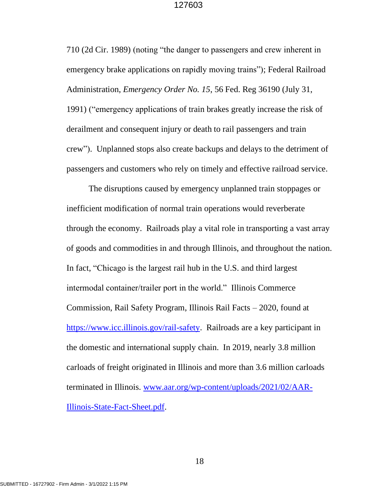710 (2d Cir. 1989) (noting "the danger to passengers and crew inherent in emergency brake applications on rapidly moving trains"); Federal Railroad Administration, *Emergency Order No. 15*, 56 Fed. Reg 36190 (July 31, 1991) ("emergency applications of train brakes greatly increase the risk of derailment and consequent injury or death to rail passengers and train crew"). Unplanned stops also create backups and delays to the detriment of passengers and customers who rely on timely and effective railroad service.

The disruptions caused by emergency unplanned train stoppages or inefficient modification of normal train operations would reverberate through the economy. Railroads play a vital role in transporting a vast array of goods and commodities in and through Illinois, and throughout the nation. In fact, "Chicago is the largest rail hub in the U.S. and third largest intermodal container/trailer port in the world." Illinois Commerce Commission, Rail Safety Program, Illinois Rail Facts – 2020, found at [https://www.icc.illinois.gov/rail-safety.](https://www.icc.illinois.gov/rail-safety) Railroads are a key participant in the domestic and international supply chain. In 2019, nearly 3.8 million carloads of freight originated in Illinois and more than 3.6 million carloads terminated in Illinois. [www.aar.org/wp-content/uploads/2021/02/AAR-](http://www.aar.org/wp-content/uploads/2021/02/AAR-Illinois-State-Fact-Sheet.pdf)[Illinois-State-Fact-Sheet.pdf.](http://www.aar.org/wp-content/uploads/2021/02/AAR-Illinois-State-Fact-Sheet.pdf)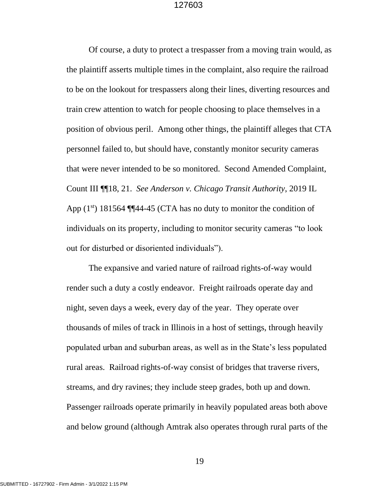Of course, a duty to protect a trespasser from a moving train would, as the plaintiff asserts multiple times in the complaint, also require the railroad to be on the lookout for trespassers along their lines, diverting resources and train crew attention to watch for people choosing to place themselves in a position of obvious peril. Among other things, the plaintiff alleges that CTA personnel failed to, but should have, constantly monitor security cameras that were never intended to be so monitored. Second Amended Complaint, Count III ¶¶18, 21. *See Anderson v. Chicago Transit Authority*, 2019 IL App  $(1^{st})$  181564 ¶¶44-45 (CTA has no duty to monitor the condition of individuals on its property, including to monitor security cameras "to look out for disturbed or disoriented individuals").

The expansive and varied nature of railroad rights-of-way would render such a duty a costly endeavor. Freight railroads operate day and night, seven days a week, every day of the year. They operate over thousands of miles of track in Illinois in a host of settings, through heavily populated urban and suburban areas, as well as in the State's less populated rural areas. Railroad rights-of-way consist of bridges that traverse rivers, streams, and dry ravines; they include steep grades, both up and down. Passenger railroads operate primarily in heavily populated areas both above and below ground (although Amtrak also operates through rural parts of the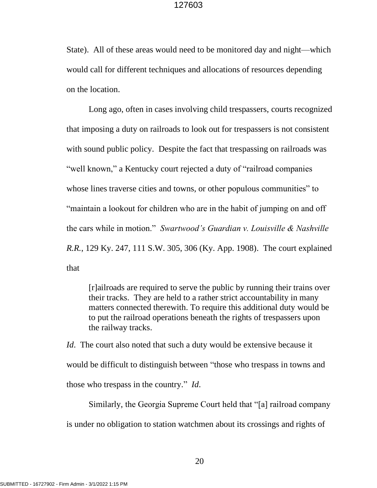State). All of these areas would need to be monitored day and night—which would call for different techniques and allocations of resources depending on the location.

Long ago, often in cases involving child trespassers, courts recognized that imposing a duty on railroads to look out for trespassers is not consistent with sound public policy. Despite the fact that trespassing on railroads was "well known," a Kentucky court rejected a duty of "railroad companies" whose lines traverse cities and towns, or other populous communities" to "maintain a lookout for children who are in the habit of jumping on and off the cars while in motion." *Swartwood's Guardian v. Louisville & Nashville R.R.*, 129 Ky. 247, 111 S.W. 305, 306 (Ky. App. 1908). The court explained that

[r]ailroads are required to serve the public by running their trains over their tracks. They are held to a rather strict accountability in many matters connected therewith. To require this additional duty would be to put the railroad operations beneath the rights of trespassers upon the railway tracks.

*Id*. The court also noted that such a duty would be extensive because it would be difficult to distinguish between "those who trespass in towns and those who trespass in the country." *Id*.

Similarly, the Georgia Supreme Court held that "[a] railroad company

is under no obligation to station watchmen about its crossings and rights of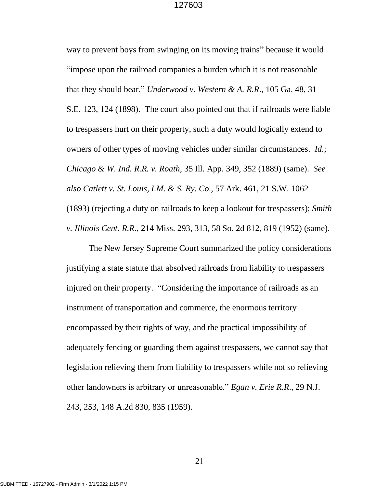way to prevent boys from swinging on its moving trains" because it would "impose upon the railroad companies a burden which it is not reasonable that they should bear." *Underwood v. Western & A. R.R*., 105 Ga. 48, 31 S.E. 123, 124 (1898). The court also pointed out that if railroads were liable to trespassers hurt on their property, such a duty would logically extend to owners of other types of moving vehicles under similar circumstances. *Id.; Chicago & W. Ind. R.R. v. Roath,* 35 Ill. App. 349, 352 (1889) (same). *See also Catlett v. St. Louis, I.M. & S. Ry. Co*., 57 Ark. 461, 21 S.W. 1062 (1893) (rejecting a duty on railroads to keep a lookout for trespassers); *Smith v. Illinois Cent. R.R*., 214 Miss. 293, 313, 58 So. 2d 812, 819 (1952) (same).

The New Jersey Supreme Court summarized the policy considerations justifying a state statute that absolved railroads from liability to trespassers injured on their property. "Considering the importance of railroads as an instrument of transportation and commerce, the enormous territory encompassed by their rights of way, and the practical impossibility of adequately fencing or guarding them against trespassers, we cannot say that legislation relieving them from liability to trespassers while not so relieving other landowners is arbitrary or unreasonable." *Egan v. Erie R.R*., 29 N.J. 243, 253, 148 A.2d 830, 835 (1959).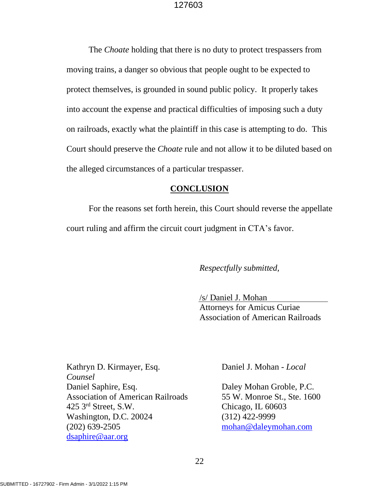The *Choate* holding that there is no duty to protect trespassers from moving trains, a danger so obvious that people ought to be expected to protect themselves, is grounded in sound public policy. It properly takes into account the expense and practical difficulties of imposing such a duty on railroads, exactly what the plaintiff in this case is attempting to do. This Court should preserve the *Choate* rule and not allow it to be diluted based on the alleged circumstances of a particular trespasser.

### **CONCLUSION**

For the reasons set forth herein, this Court should reverse the appellate court ruling and affirm the circuit court judgment in CTA's favor.

# *Respectfully submitted,*

/s/ Daniel J. Mohan Attorneys for Amicus Curiae Association of American Railroads

Kathryn D. Kirmayer, Esq. Daniel J. Mohan - *Local Counsel* Daniel Saphire, Esq. Daley Mohan Groble, P.C. Association of American Railroads 55 W. Monroe St., Ste. 1600 425 3rd Street, S.W. Chicago, IL 60603 Washington, D.C. 20024 (312) 422-9999 (202) 639-2505 [mohan@daleymohan.com](mailto:mohan@daleymohan.com) [dsaphire@aar.org](mailto:dsaphire@aar.org)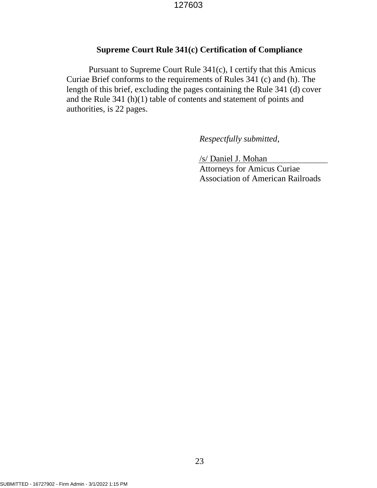# **Supreme Court Rule 341(c) Certification of Compliance**

Pursuant to Supreme Court Rule 341(c), I certify that this Amicus Curiae Brief conforms to the requirements of Rules 341 (c) and (h). The length of this brief, excluding the pages containing the Rule 341 (d) cover and the Rule 341 (h)(1) table of contents and statement of points and authorities, is 22 pages.

*Respectfully submitted,*

/s/ Daniel J. Mohan Attorneys for Amicus Curiae Association of American Railroads